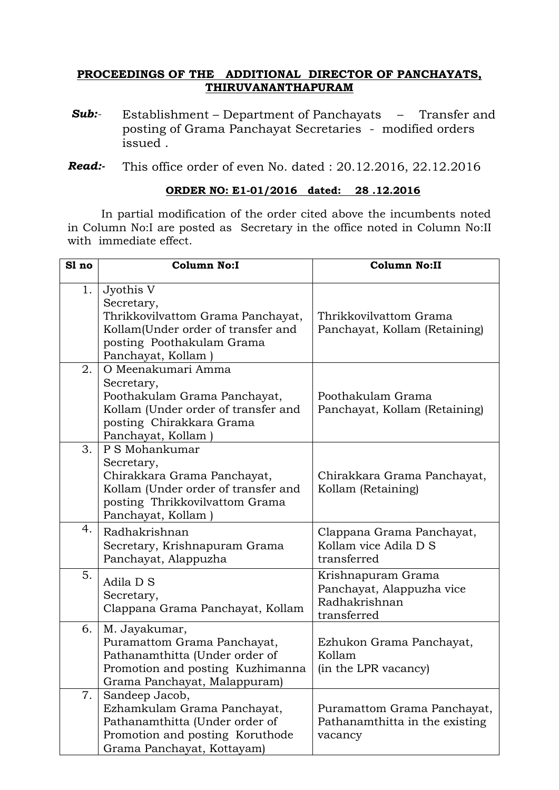## **PROCEEDINGS OF THE ADDITIONAL DIRECTOR OF PANCHAYATS, THIRUVANANTHAPURAM**

- *Sub:* Establishment Department of Panchayats Transfer and posting of Grama Panchayat Secretaries - modified orders issued .
- *Read:-* This office order of even No. dated : 20.12.2016, 22.12.2016

### **ORDER NO: E1-01/2016 dated: 28 .12.2016**

In partial modification of the order cited above the incumbents noted in Column No:I are posted as Secretary in the office noted in Column No:II with immediate effect.

| Sl no | <b>Column No:I</b>                                                                                                                                        | <b>Column No:II</b>                                                             |
|-------|-----------------------------------------------------------------------------------------------------------------------------------------------------------|---------------------------------------------------------------------------------|
| 1.    | Jyothis V<br>Secretary,<br>Thrikkovilvattom Grama Panchayat,<br>Kollam(Under order of transfer and<br>posting Poothakulam Grama<br>Panchayat, Kollam)     | Thrikkovilvattom Grama<br>Panchayat, Kollam (Retaining)                         |
| 2.    | O Meenakumari Amma<br>Secretary,<br>Poothakulam Grama Panchayat,<br>Kollam (Under order of transfer and<br>posting Chirakkara Grama<br>Panchayat, Kollam) | Poothakulam Grama<br>Panchayat, Kollam (Retaining)                              |
| 3.    | P S Mohankumar<br>Secretary,<br>Chirakkara Grama Panchayat,<br>Kollam (Under order of transfer and<br>posting Thrikkovilvattom Grama<br>Panchayat, Kollam | Chirakkara Grama Panchayat,<br>Kollam (Retaining)                               |
| 4.    | Radhakrishnan<br>Secretary, Krishnapuram Grama<br>Panchayat, Alappuzha                                                                                    | Clappana Grama Panchayat,<br>Kollam vice Adila D S<br>transferred               |
| 5.    | Adila D S<br>Secretary,<br>Clappana Grama Panchayat, Kollam                                                                                               | Krishnapuram Grama<br>Panchayat, Alappuzha vice<br>Radhakrishnan<br>transferred |
| 6.    | M. Jayakumar,<br>Puramattom Grama Panchayat,<br>Pathanamthitta (Under order of<br>Promotion and posting Kuzhimanna<br>Grama Panchayat, Malappuram)        | Ezhukon Grama Panchayat,<br>Kollam<br>(in the LPR vacancy)                      |
| 7.    | Sandeep Jacob,<br>Ezhamkulam Grama Panchayat,<br>Pathanamthitta (Under order of<br>Promotion and posting Koruthode<br>Grama Panchayat, Kottayam)          | Puramattom Grama Panchayat,<br>Pathanamthitta in the existing<br>vacancy        |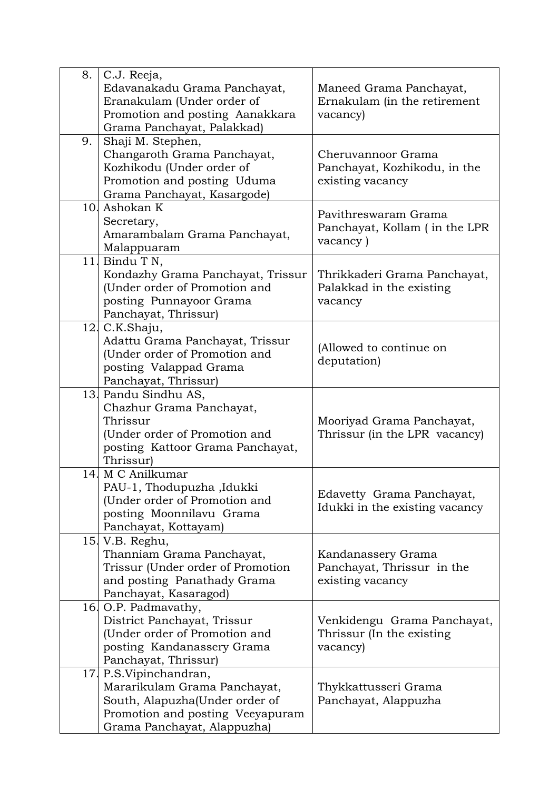| 8. | C.J. Reeja,                                |                                |
|----|--------------------------------------------|--------------------------------|
|    | Edavanakadu Grama Panchayat,               | Maneed Grama Panchayat,        |
|    | Eranakulam (Under order of                 | Ernakulam (in the retirement   |
|    | Promotion and posting Aanakkara            | vacancy)                       |
|    | Grama Panchayat, Palakkad)                 |                                |
| 9. | Shaji M. Stephen,                          |                                |
|    | Changaroth Grama Panchayat,                | Cheruvannoor Grama             |
|    | Kozhikodu (Under order of                  | Panchayat, Kozhikodu, in the   |
|    | Promotion and posting Uduma                | existing vacancy               |
|    | Grama Panchayat, Kasargode)                |                                |
|    | 10. Ashokan K                              |                                |
|    |                                            | Pavithreswaram Grama           |
|    | Secretary,<br>Amarambalam Grama Panchayat, | Panchayat, Kollam (in the LPR  |
|    |                                            | vacancy)                       |
|    | Malappuaram                                |                                |
|    | 11. Bindu T N,                             |                                |
|    | Kondazhy Grama Panchayat, Trissur          | Thrikkaderi Grama Panchayat,   |
|    | (Under order of Promotion and              | Palakkad in the existing       |
|    | posting Punnayoor Grama                    | vacancy                        |
|    | Panchayat, Thrissur)                       |                                |
|    | 12. C.K.Shaju,                             |                                |
|    | Adattu Grama Panchayat, Trissur            | (Allowed to continue on        |
|    | (Under order of Promotion and              | deputation)                    |
|    | posting Valappad Grama                     |                                |
|    | Panchayat, Thrissur)                       |                                |
|    | 13. Pandu Sindhu AS,                       |                                |
|    | Chazhur Grama Panchayat,                   |                                |
|    | Thrissur                                   | Mooriyad Grama Panchayat,      |
|    | (Under order of Promotion and              | Thrissur (in the LPR vacancy)  |
|    | posting Kattoor Grama Panchayat,           |                                |
|    | Thrissur)                                  |                                |
|    | 14. M C Anilkumar                          |                                |
|    | PAU-1, Thodupuzha ,Idukki                  | Edavetty Grama Panchayat,      |
|    | (Under order of Promotion and              | Idukki in the existing vacancy |
|    | posting Moonnilavu Grama                   |                                |
|    | Panchayat, Kottayam)                       |                                |
|    | 15. V.B. Reghu,                            |                                |
|    | Thanniam Grama Panchayat,                  | Kandanassery Grama             |
|    | Trissur (Under order of Promotion          | Panchayat, Thrissur in the     |
|    | and posting Panathady Grama                | existing vacancy               |
|    | Panchayat, Kasaragod)                      |                                |
|    | 16. O.P. Padmavathy,                       |                                |
|    | District Panchayat, Trissur                | Venkidengu Grama Panchayat,    |
|    | (Under order of Promotion and              | Thrissur (In the existing      |
|    | posting Kandanassery Grama                 | vacancy)                       |
|    | Panchayat, Thrissur)                       |                                |
|    | 17 P.S. Vipinchandran,                     |                                |
|    | Mararikulam Grama Panchayat,               | Thykkattusseri Grama           |
|    | South, Alapuzha(Under order of             | Panchayat, Alappuzha           |
|    | Promotion and posting Veeyapuram           |                                |
|    | Grama Panchayat, Alappuzha)                |                                |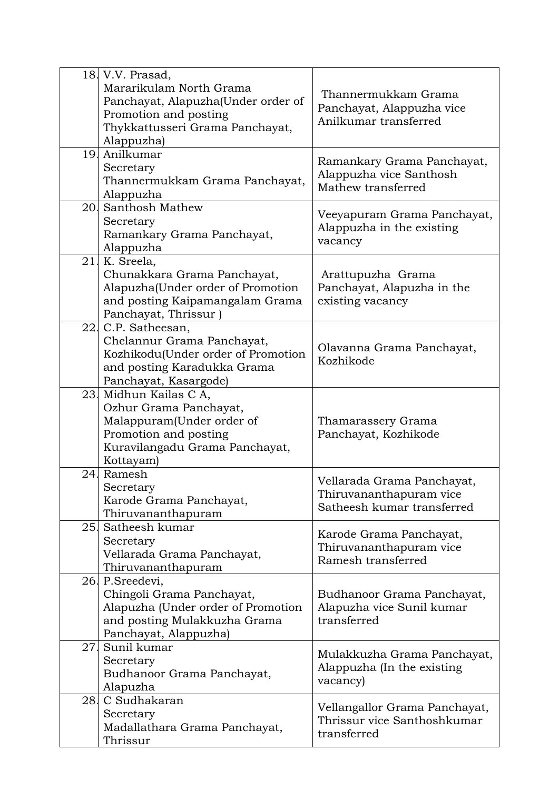|     | 18. V.V. Prasad,                   |                               |
|-----|------------------------------------|-------------------------------|
|     | Mararikulam North Grama            |                               |
|     | Panchayat, Alapuzha(Under order of | Thannermukkam Grama           |
|     | Promotion and posting              | Panchayat, Alappuzha vice     |
|     |                                    | Anilkumar transferred         |
|     | Thykkattusseri Grama Panchayat,    |                               |
|     | Alappuzha)                         |                               |
|     | 19. Anilkumar                      | Ramankary Grama Panchayat,    |
|     | Secretary                          | Alappuzha vice Santhosh       |
|     | Thannermukkam Grama Panchayat,     | Mathew transferred            |
|     | Alappuzha                          |                               |
|     | 20. Santhosh Mathew                |                               |
|     | Secretary                          | Veeyapuram Grama Panchayat,   |
|     | Ramankary Grama Panchayat,         | Alappuzha in the existing     |
|     | Alappuzha                          | vacancy                       |
|     | 21. K. Sreela,                     |                               |
|     | Chunakkara Grama Panchayat,        | Arattupuzha Grama             |
|     | Alapuzha(Under order of Promotion  | Panchayat, Alapuzha in the    |
|     |                                    | existing vacancy              |
|     | and posting Kaipamangalam Grama    |                               |
|     | Panchayat, Thrissur                |                               |
|     | 22. C.P. Satheesan,                |                               |
|     | Chelannur Grama Panchayat,         | Olavanna Grama Panchayat,     |
|     | Kozhikodu(Under order of Promotion | Kozhikode                     |
|     | and posting Karadukka Grama        |                               |
|     | Panchayat, Kasargode)              |                               |
|     | 23. Midhun Kailas C A,             |                               |
|     | Ozhur Grama Panchayat,             |                               |
|     | Malappuram(Under order of          | Thamarassery Grama            |
|     | Promotion and posting              | Panchayat, Kozhikode          |
|     | Kuravilangadu Grama Panchayat,     |                               |
|     | Kottayam)                          |                               |
| 24. | Ramesh                             |                               |
|     | Secretary                          | Vellarada Grama Panchayat,    |
|     | Karode Grama Panchayat,            | Thiruvananthapuram vice       |
|     |                                    | Satheesh kumar transferred    |
|     | Thiruvananthapuram                 |                               |
|     | 25. Satheesh kumar                 | Karode Grama Panchayat,       |
|     | Secretary                          | Thiruvananthapuram vice       |
|     | Vellarada Grama Panchayat,         | Ramesh transferred            |
|     | Thiruvananthapuram                 |                               |
|     | 26. P. Sreedevi,                   |                               |
|     | Chingoli Grama Panchayat,          | Budhanoor Grama Panchayat,    |
|     | Alapuzha (Under order of Promotion | Alapuzha vice Sunil kumar     |
|     | and posting Mulakkuzha Grama       | transferred                   |
|     | Panchayat, Alappuzha)              |                               |
| 27. | Sunil kumar                        |                               |
|     | Secretary                          | Mulakkuzha Grama Panchayat,   |
|     | Budhanoor Grama Panchayat,         | Alappuzha (In the existing)   |
|     | Alapuzha                           | vacancy)                      |
| 28. | C Sudhakaran                       |                               |
|     |                                    | Vellangallor Grama Panchayat, |
|     | Secretary                          | Thrissur vice Santhoshkumar   |
|     | Madallathara Grama Panchayat,      | transferred                   |
|     | Thrissur                           |                               |